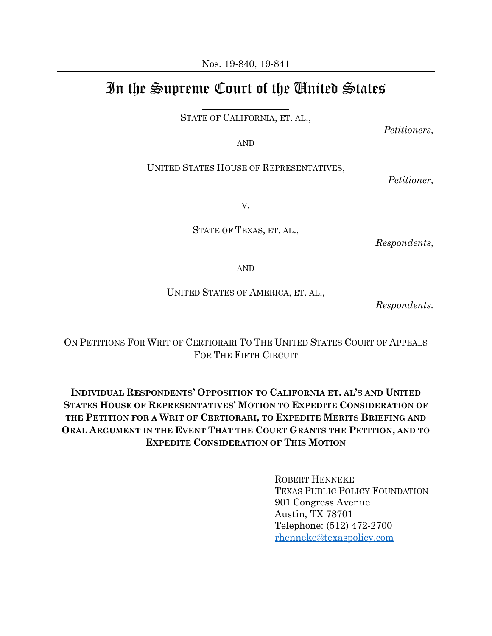Nos. 19-840, 19-841

## In the Supreme Court of the United States

STATE OF CALIFORNIA, ET. AL.,

*Petitioners,*

AND

UNITED STATES HOUSE OF REPRESENTATIVES,

*Petitioner,*

V.

STATE OF TEXAS, ET. AL.,

*Respondents,*

AND

UNITED STATES OF AMERICA, ET. AL.,

 *Respondents.*

ON PETITIONS FOR WRIT OF CERTIORARI TO THE UNITED STATES COURT OF APPEALS FOR THE FIFTH CIRCUIT

**INDIVIDUAL RESPONDENTS' OPPOSITION TO CALIFORNIA ET. AL'S AND UNITED STATES HOUSE OF REPRESENTATIVES' MOTION TO EXPEDITE CONSIDERATION OF THE PETITION FOR A WRIT OF CERTIORARI, TO EXPEDITE MERITS BRIEFING AND ORAL ARGUMENT IN THE EVENT THAT THE COURT GRANTS THE PETITION, AND TO EXPEDITE CONSIDERATION OF THIS MOTION**

> ROBERT HENNEKE TEXAS PUBLIC POLICY FOUNDATION 901 Congress Avenue Austin, TX 78701 Telephone: (512) 472-2700 [rhenneke@texaspolicy.com](mailto:rhenneke@texaspolicy.com)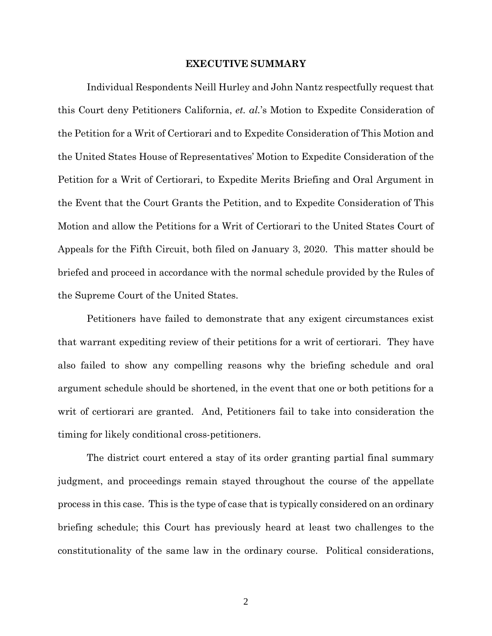### **EXECUTIVE SUMMARY**

Individual Respondents Neill Hurley and John Nantz respectfully request that this Court deny Petitioners California, *et. al.*'s Motion to Expedite Consideration of the Petition for a Writ of Certiorari and to Expedite Consideration of This Motion and the United States House of Representatives' Motion to Expedite Consideration of the Petition for a Writ of Certiorari, to Expedite Merits Briefing and Oral Argument in the Event that the Court Grants the Petition, and to Expedite Consideration of This Motion and allow the Petitions for a Writ of Certiorari to the United States Court of Appeals for the Fifth Circuit, both filed on January 3, 2020. This matter should be briefed and proceed in accordance with the normal schedule provided by the Rules of the Supreme Court of the United States.

Petitioners have failed to demonstrate that any exigent circumstances exist that warrant expediting review of their petitions for a writ of certiorari. They have also failed to show any compelling reasons why the briefing schedule and oral argument schedule should be shortened, in the event that one or both petitions for a writ of certiorari are granted. And, Petitioners fail to take into consideration the timing for likely conditional cross-petitioners.

The district court entered a stay of its order granting partial final summary judgment, and proceedings remain stayed throughout the course of the appellate process in this case. This is the type of case that is typically considered on an ordinary briefing schedule; this Court has previously heard at least two challenges to the constitutionality of the same law in the ordinary course. Political considerations,

2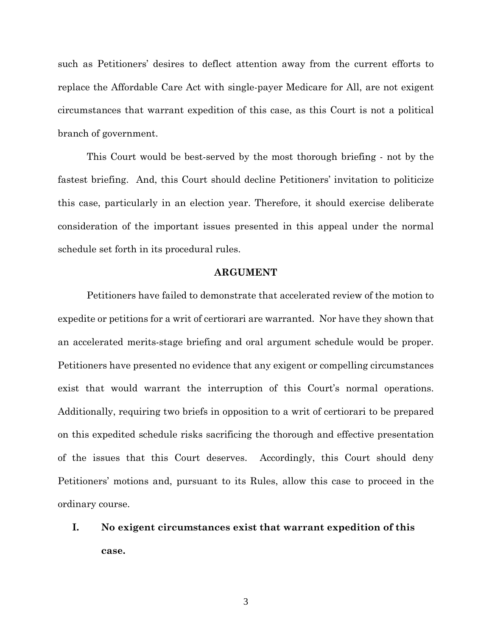such as Petitioners' desires to deflect attention away from the current efforts to replace the Affordable Care Act with single-payer Medicare for All, are not exigent circumstances that warrant expedition of this case, as this Court is not a political branch of government.

This Court would be best-served by the most thorough briefing - not by the fastest briefing. And, this Court should decline Petitioners' invitation to politicize this case, particularly in an election year. Therefore, it should exercise deliberate consideration of the important issues presented in this appeal under the normal schedule set forth in its procedural rules.

#### **ARGUMENT**

Petitioners have failed to demonstrate that accelerated review of the motion to expedite or petitions for a writ of certiorari are warranted. Nor have they shown that an accelerated merits-stage briefing and oral argument schedule would be proper. Petitioners have presented no evidence that any exigent or compelling circumstances exist that would warrant the interruption of this Court's normal operations. Additionally, requiring two briefs in opposition to a writ of certiorari to be prepared on this expedited schedule risks sacrificing the thorough and effective presentation of the issues that this Court deserves. Accordingly, this Court should deny Petitioners' motions and, pursuant to its Rules, allow this case to proceed in the ordinary course.

# **I. No exigent circumstances exist that warrant expedition of this case.**

3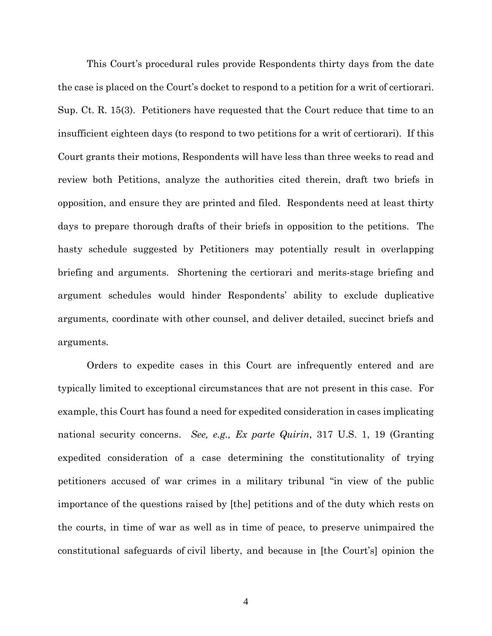This Court's procedural rules provide Respondents thirty days from the date the case is placed on the Court's docket to respond to a petition for a writ of certiorari. Sup. Ct. R. 15(3). Petitioners have requested that the Court reduce that time to an insufficient eighteen days (to respond to two petitions for a writ of certiorari). If this Court grants their motions, Respondents will have less than three weeks to read and review both Petitions, analyze the authorities cited therein, draft two briefs in opposition, and ensure they are printed and filed. Respondents need at least thirty days to prepare thorough drafts of their briefs in opposition to the petitions. The hasty schedule suggested by Petitioners may potentially result in overlapping briefing and arguments. Shortening the certiorari and merits-stage briefing and argument schedules would hinder Respondents' ability to exclude duplicative arguments, coordinate with other counsel, and deliver detailed, succinct briefs and arguments.

Orders to expedite cases in this Court are infrequently entered and are typically limited to exceptional circumstances that are not present in this case. For example, this Court has found a need for expedited consideration in cases implicating national security concerns. *See, e.g., Ex parte Quirin*, 317 U.S. 1, 19 (Granting expedited consideration of a case determining the constitutionality of trying petitioners accused of war crimes in a military tribunal "in view of the public importance of the questions raised by [the] petitions and of the duty which rests on the courts, in time of war as well as in time of peace, to preserve unimpaired the constitutional safeguards of civil liberty, and because in [the Court's] opinion the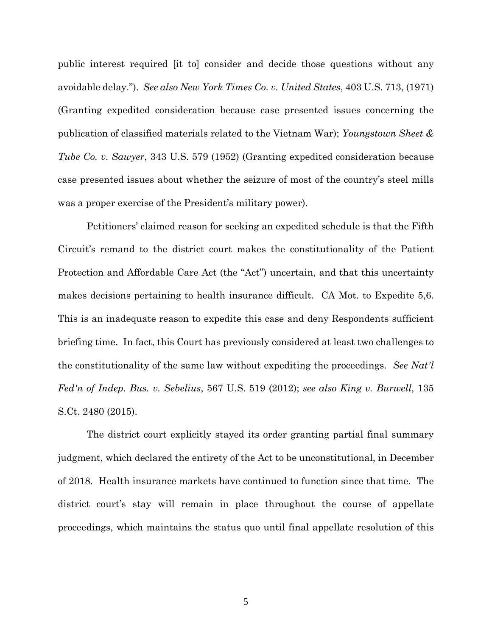public interest required [it to] consider and decide those questions without any avoidable delay."). *See also New York Times Co. v. United States*, 403 U.S. 713, (1971) (Granting expedited consideration because case presented issues concerning the publication of classified materials related to the Vietnam War); *Youngstown Sheet & Tube Co. v. Sawyer*, 343 U.S. 579 (1952) (Granting expedited consideration because case presented issues about whether the seizure of most of the country's steel mills was a proper exercise of the President's military power).

Petitioners' claimed reason for seeking an expedited schedule is that the Fifth Circuit's remand to the district court makes the constitutionality of the Patient Protection and Affordable Care Act (the "Act") uncertain, and that this uncertainty makes decisions pertaining to health insurance difficult. CA Mot. to Expedite 5,6. This is an inadequate reason to expedite this case and deny Respondents sufficient briefing time. In fact, this Court has previously considered at least two challenges to the constitutionality of the same law without expediting the proceedings. *See Nat'l Fed'n of Indep. Bus. v. Sebelius*, 567 U.S. 519 (2012); *see also King v. Burwell*, 135 S.Ct. 2480 (2015).

The district court explicitly stayed its order granting partial final summary judgment, which declared the entirety of the Act to be unconstitutional, in December of 2018. Health insurance markets have continued to function since that time. The district court's stay will remain in place throughout the course of appellate proceedings, which maintains the status quo until final appellate resolution of this